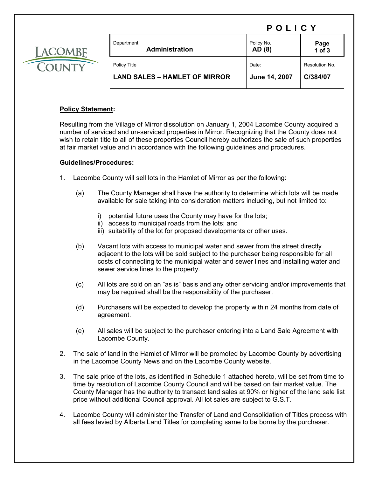## POLICY



| Department<br><b>Administration</b>  | Policy No.<br>AD (8) | Page<br>1 of 3 |
|--------------------------------------|----------------------|----------------|
| Policy Title                         | Date:                | Resolution No. |
| <b>LAND SALES – HAMLET OF MIRROR</b> | June 14, 2007        | C/384/07       |

## **Policy Statement:**

Resulting from the Village of Mirror dissolution on January 1, 2004 Lacombe County acquired a number of serviced and un-serviced properties in Mirror. Recognizing that the County does not wish to retain title to all of these properties Council hereby authorizes the sale of such properties at fair market value and in accordance with the following guidelines and procedures.

## **Guidelines/Procedures:**

- 1. Lacombe County will sell lots in the Hamlet of Mirror as per the following:
	- (a) The County Manager shall have the authority to determine which lots will be made available for sale taking into consideration matters including, but not limited to:
		- i) potential future uses the County may have for the lots;
		- ii) access to municipal roads from the lots; and
		- iii) suitability of the lot for proposed developments or other uses.
	- (b) Vacant lots with access to municipal water and sewer from the street directly adjacent to the lots will be sold subject to the purchaser being responsible for all costs of connecting to the municipal water and sewer lines and installing water and sewer service lines to the property.
	- (c) All lots are sold on an "as is" basis and any other servicing and/or improvements that may be required shall be the responsibility of the purchaser.
	- (d) Purchasers will be expected to develop the property within 24 months from date of agreement.
	- (e) All sales will be subject to the purchaser entering into a Land Sale Agreement with Lacombe County.
- 2. The sale of land in the Hamlet of Mirror will be promoted by Lacombe County by advertising in the Lacombe County News and on the Lacombe County website.
- 3. The sale price of the lots, as identified in Schedule 1 attached hereto, will be set from time to time by resolution of Lacombe County Council and will be based on fair market value. The County Manager has the authority to transact land sales at 90% or higher of the land sale list price without additional Council approval. All lot sales are subject to G.S.T.
- 4. Lacombe County will administer the Transfer of Land and Consolidation of Titles process with all fees levied by Alberta Land Titles for completing same to be borne by the purchaser.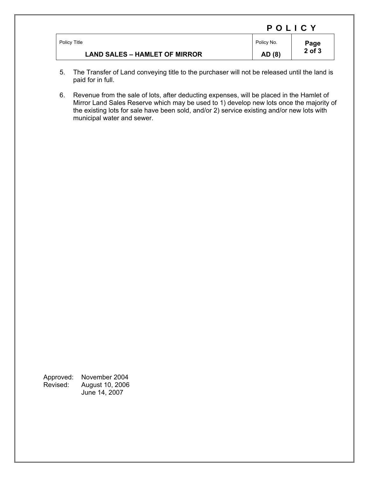|                                      | POLICY     |                |  |
|--------------------------------------|------------|----------------|--|
| Policy Title                         | Policy No. | Page<br>2 of 3 |  |
| <b>LAND SALES - HAMLET OF MIRROR</b> | AD (8)     |                |  |

- 5. The Transfer of Land conveying title to the purchaser will not be released until the land is paid for in full.
- 6. Revenue from the sale of lots, after deducting expenses, will be placed in the Hamlet of Mirror Land Sales Reserve which may be used to 1) develop new lots once the majority of the existing lots for sale have been sold, and/or 2) service existing and/or new lots with municipal water and sewer.

Approved: November 2004<br>Revised: August 10, 2006 Revised: August 10, 2006 June 14, 2007